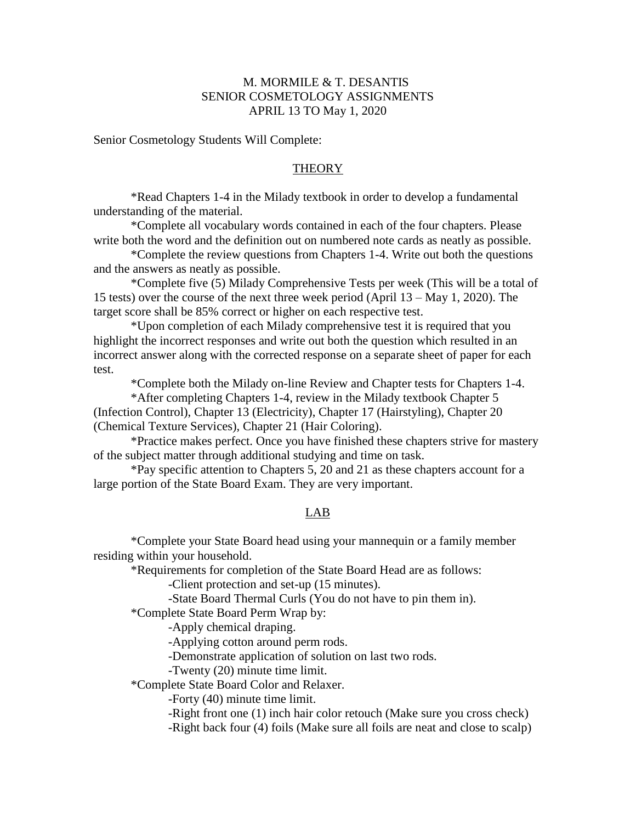## M. MORMILE & T. DESANTIS SENIOR COSMETOLOGY ASSIGNMENTS APRIL 13 TO May 1, 2020

Senior Cosmetology Students Will Complete:

## **THEORY**

\*Read Chapters 1-4 in the Milady textbook in order to develop a fundamental understanding of the material.

\*Complete all vocabulary words contained in each of the four chapters. Please write both the word and the definition out on numbered note cards as neatly as possible.

\*Complete the review questions from Chapters 1-4. Write out both the questions and the answers as neatly as possible.

\*Complete five (5) Milady Comprehensive Tests per week (This will be a total of 15 tests) over the course of the next three week period (April 13 – May 1, 2020). The target score shall be 85% correct or higher on each respective test.

\*Upon completion of each Milady comprehensive test it is required that you highlight the incorrect responses and write out both the question which resulted in an incorrect answer along with the corrected response on a separate sheet of paper for each test.

\*Complete both the Milady on-line Review and Chapter tests for Chapters 1-4.

\*After completing Chapters 1-4, review in the Milady textbook Chapter 5 (Infection Control), Chapter 13 (Electricity), Chapter 17 (Hairstyling), Chapter 20 (Chemical Texture Services), Chapter 21 (Hair Coloring).

\*Practice makes perfect. Once you have finished these chapters strive for mastery of the subject matter through additional studying and time on task.

\*Pay specific attention to Chapters 5, 20 and 21 as these chapters account for a large portion of the State Board Exam. They are very important.

## LAB

\*Complete your State Board head using your mannequin or a family member residing within your household.

\*Requirements for completion of the State Board Head are as follows:

-Client protection and set-up (15 minutes).

-State Board Thermal Curls (You do not have to pin them in).

\*Complete State Board Perm Wrap by:

-Apply chemical draping.

-Applying cotton around perm rods.

-Demonstrate application of solution on last two rods.

-Twenty (20) minute time limit.

\*Complete State Board Color and Relaxer.

-Forty (40) minute time limit.

-Right front one (1) inch hair color retouch (Make sure you cross check)

-Right back four (4) foils (Make sure all foils are neat and close to scalp)